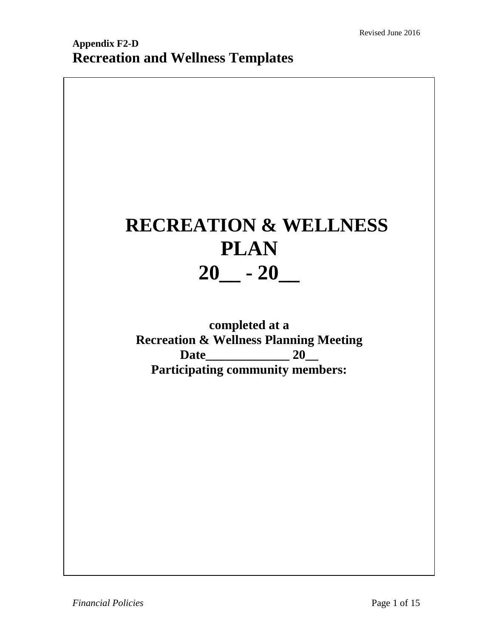# **RECREATION & WELLNESS PLAN 20\_\_ - 20\_\_**

**completed at a Recreation & Wellness Planning Meeting Date\_\_\_\_\_\_\_\_\_\_\_\_\_ 20\_\_ Participating community members:**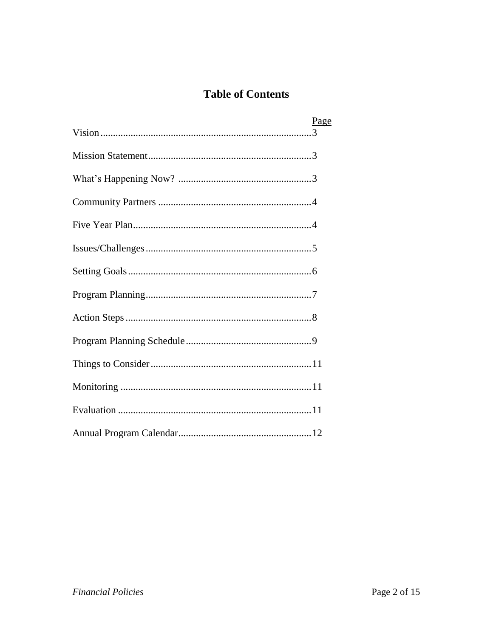# **Table of Contents**

| Page |
|------|
|      |
|      |
|      |
|      |
|      |
|      |
|      |
|      |
|      |
|      |
|      |
|      |
|      |
|      |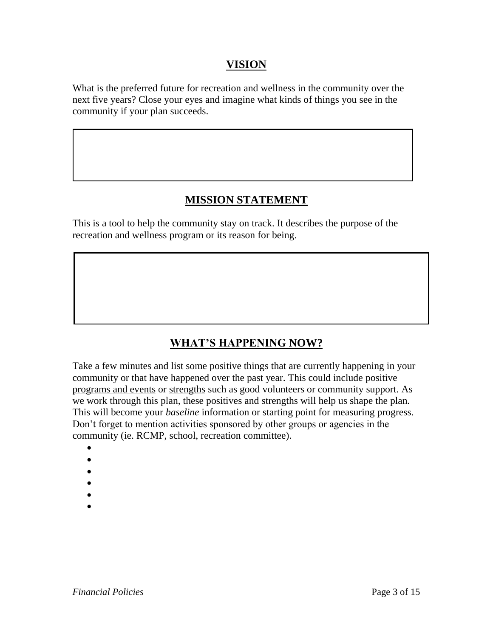#### **VISION**

What is the preferred future for recreation and wellness in the community over the next five years? Close your eyes and imagine what kinds of things you see in the community if your plan succeeds.

## **MISSION STATEMENT**

This is a tool to help the community stay on track. It describes the purpose of the recreation and wellness program or its reason for being.

## **WHAT'S HAPPENING NOW?**

Take a few minutes and list some positive things that are currently happening in your community or that have happened over the past year. This could include positive programs and events or strengths such as good volunteers or community support. As we work through this plan, these positives and strengths will help us shape the plan*.* This will become your *baseline* information or starting point for measuring progress. Don't forget to mention activities sponsored by other groups or agencies in the community (ie. RCMP, school, recreation committee).

- $\bullet$
- $\bullet$
- $\bullet$
- $\bullet$
- $\bullet$
-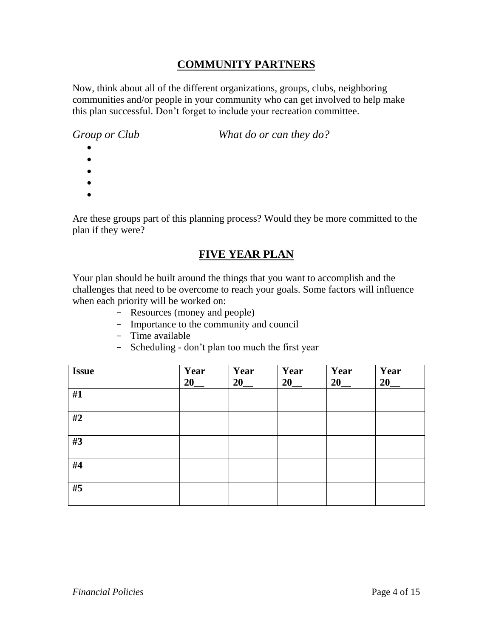## **COMMUNITY PARTNERS**

Now, think about all of the different organizations, groups, clubs, neighboring communities and/or people in your community who can get involved to help make this plan successful. Don't forget to include your recreation committee.

*Group or Club What do or can they do?*

- $\bullet$
- $\bullet$
- $\bullet$
- $\bullet$
- $\bullet$

Are these groups part of this planning process? Would they be more committed to the plan if they were?

### **FIVE YEAR PLAN**

Your plan should be built around the things that you want to accomplish and the challenges that need to be overcome to reach your goals. Some factors will influence when each priority will be worked on:

- Resources (money and people)
- Importance to the community and council
- Time available
- Scheduling don't plan too much the first year

| <b>Issue</b> | Year<br>20 | Year<br>20 | Year<br>20 | Year<br>20 | Year<br>20 |
|--------------|------------|------------|------------|------------|------------|
| #1           |            |            |            |            |            |
| #2           |            |            |            |            |            |
| #3           |            |            |            |            |            |
| #4           |            |            |            |            |            |
| #5           |            |            |            |            |            |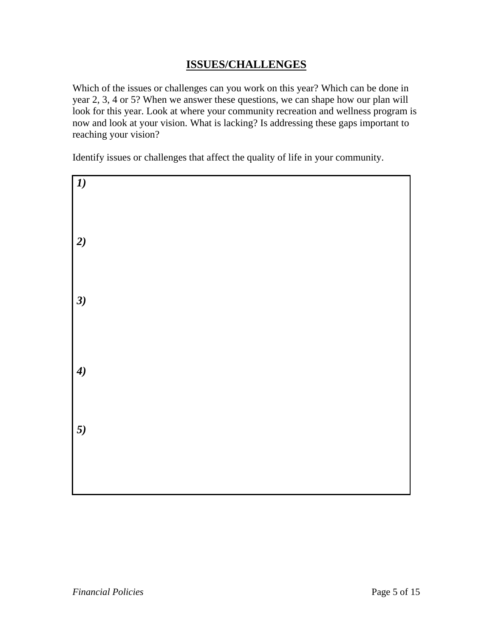## **ISSUES/CHALLENGES**

Which of the issues or challenges can you work on this year? Which can be done in year 2, 3, 4 or 5? When we answer these questions, we can shape how our plan will look for this year. Look at where your community recreation and wellness program is now and look at your vision. What is lacking? Is addressing these gaps important to reaching your vision?

Identify issues or challenges that affect the quality of life in your community.

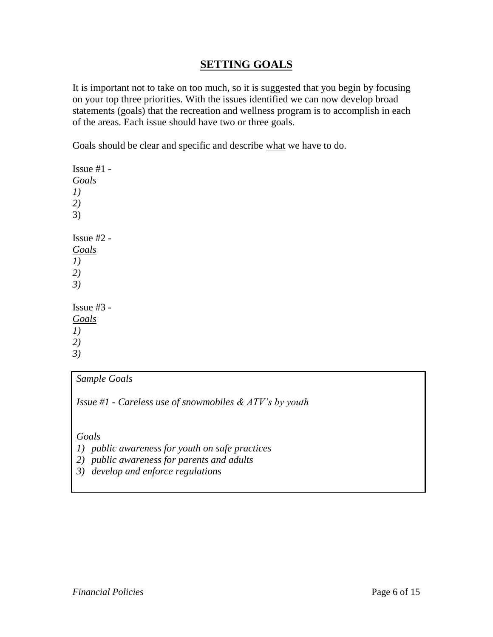#### **SETTING GOALS**

It is important not to take on too much, so it is suggested that you begin by focusing on your top three priorities. With the issues identified we can now develop broad statements (goals) that the recreation and wellness program is to accomplish in each of the areas. Each issue should have two or three goals.

Goals should be clear and specific and describe what we have to do.

Issue  $#1 -$ *Goals 1) 2)* 3) Issue #2 - *Goals 1) 2) 3)* Issue  $#3 -$ *Goals 1) 2) 3)*

#### *Sample Goals*

*Issue #1 - Careless use of snowmobiles & ATV's by youth* 

*Goals*

- *1) public awareness for youth on safe practices*
- *2) public awareness for parents and adults*
- *3) develop and enforce regulations*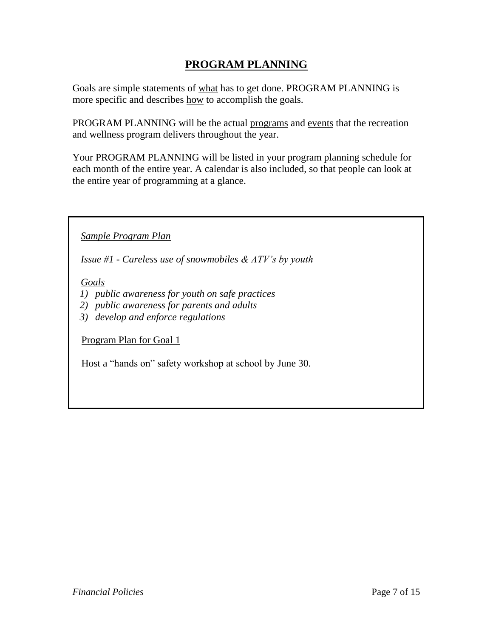## **PROGRAM PLANNING**

Goals are simple statements of what has to get done. PROGRAM PLANNING is more specific and describes how to accomplish the goals.

PROGRAM PLANNING will be the actual programs and events that the recreation and wellness program delivers throughout the year.

Your PROGRAM PLANNING will be listed in your program planning schedule for each month of the entire year. A calendar is also included, so that people can look at the entire year of programming at a glance.

*Sample Program Plan*

*Issue #1 - Careless use of snowmobiles & ATV's by youth* 

*Goals*

- *1) public awareness for youth on safe practices*
- *2) public awareness for parents and adults*
- *3) develop and enforce regulations*

Program Plan for Goal 1

Host a "hands on" safety workshop at school by June 30.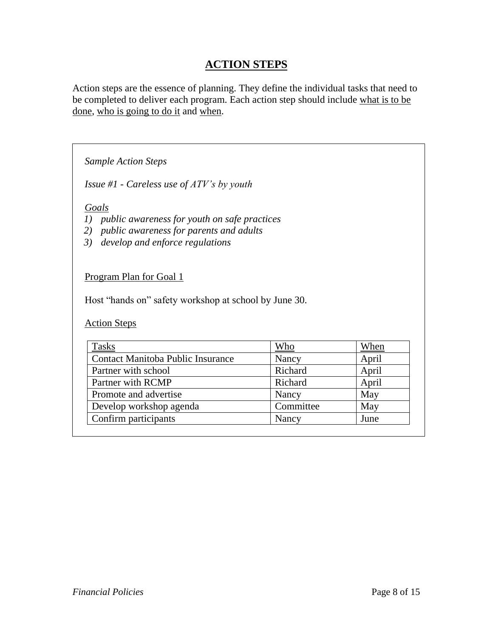## **ACTION STEPS**

Action steps are the essence of planning. They define the individual tasks that need to be completed to deliver each program. Each action step should include what is to be done, who is going to do it and when.

*Sample Action Steps*

*Issue #1 - Careless use of ATV's by youth* 

*Goals*

- *1) public awareness for youth on safe practices*
- *2) public awareness for parents and adults*
- *3) develop and enforce regulations*

Program Plan for Goal 1

Host "hands on" safety workshop at school by June 30.

Action Steps

| Tasks                             | Who       | When  |
|-----------------------------------|-----------|-------|
| Contact Manitoba Public Insurance | Nancy     | April |
| Partner with school               | Richard   | April |
| Partner with RCMP                 | Richard   | April |
| Promote and advertise             | Nancy     | May   |
| Develop workshop agenda           | Committee | May   |
| Confirm participants              | Nancy     | June  |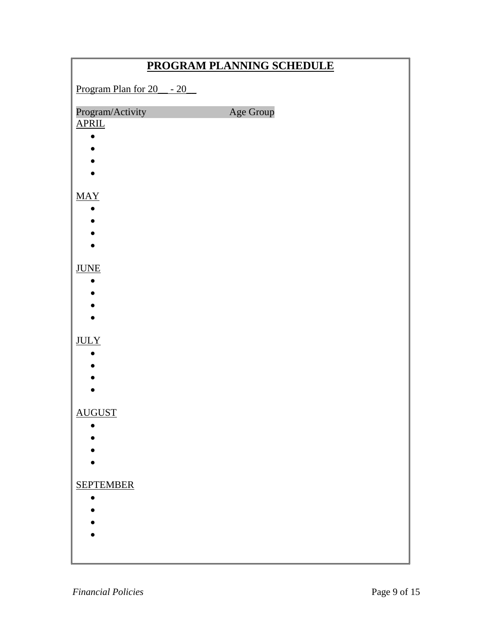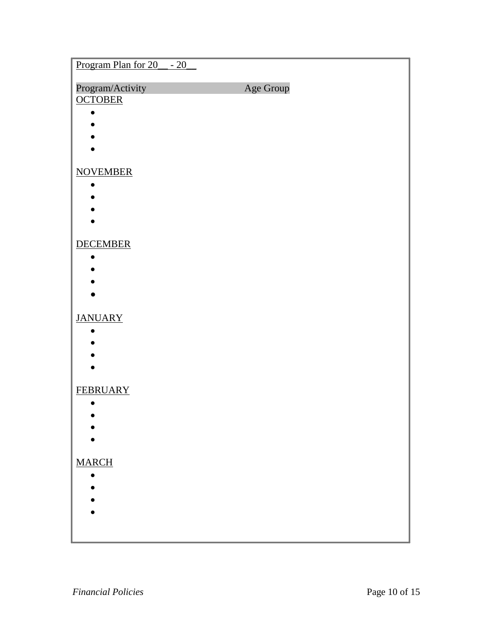| Program Plan for 20 __ - 20 |           |
|-----------------------------|-----------|
| Program/Activity            | Age Group |
| <b>OCTOBER</b>              |           |
|                             |           |
|                             |           |
|                             |           |
| <b>NOVEMBER</b>             |           |
|                             |           |
|                             |           |
|                             |           |
| <b>DECEMBER</b>             |           |
|                             |           |
|                             |           |
|                             |           |
|                             |           |
| <b>JANUARY</b>              |           |
|                             |           |
|                             |           |
|                             |           |
| <b>FEBRUARY</b>             |           |
|                             |           |
|                             |           |
|                             |           |
| <b>MARCH</b>                |           |
|                             |           |
|                             |           |
|                             |           |
|                             |           |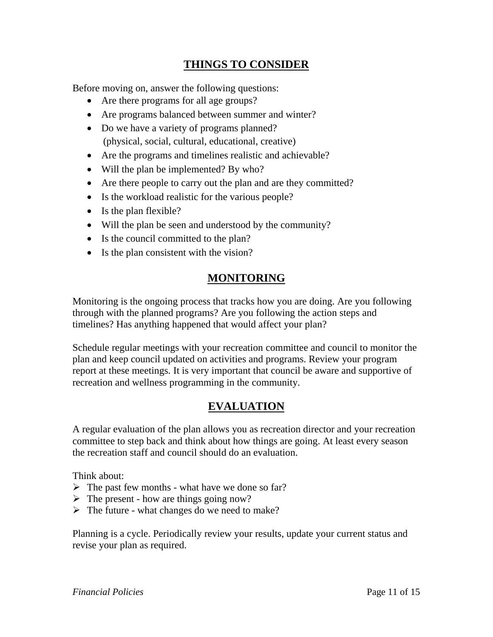## **THINGS TO CONSIDER**

Before moving on, answer the following questions:

- Are there programs for all age groups?
- Are programs balanced between summer and winter?
- Do we have a variety of programs planned? (physical, social, cultural, educational, creative)
- Are the programs and timelines realistic and achievable?
- Will the plan be implemented? By who?
- Are there people to carry out the plan and are they committed?
- Is the workload realistic for the various people?
- Is the plan flexible?
- Will the plan be seen and understood by the community?
- Is the council committed to the plan?
- Is the plan consistent with the vision?

### **MONITORING**

Monitoring is the ongoing process that tracks how you are doing. Are you following through with the planned programs? Are you following the action steps and timelines? Has anything happened that would affect your plan?

Schedule regular meetings with your recreation committee and council to monitor the plan and keep council updated on activities and programs. Review your program report at these meetings. It is very important that council be aware and supportive of recreation and wellness programming in the community.

## **EVALUATION**

A regular evaluation of the plan allows you as recreation director and your recreation committee to step back and think about how things are going. At least every season the recreation staff and council should do an evaluation.

Think about:

- $\triangleright$  The past few months what have we done so far?
- $\triangleright$  The present how are things going now?
- $\triangleright$  The future what changes do we need to make?

Planning is a cycle. Periodically review your results, update your current status and revise your plan as required.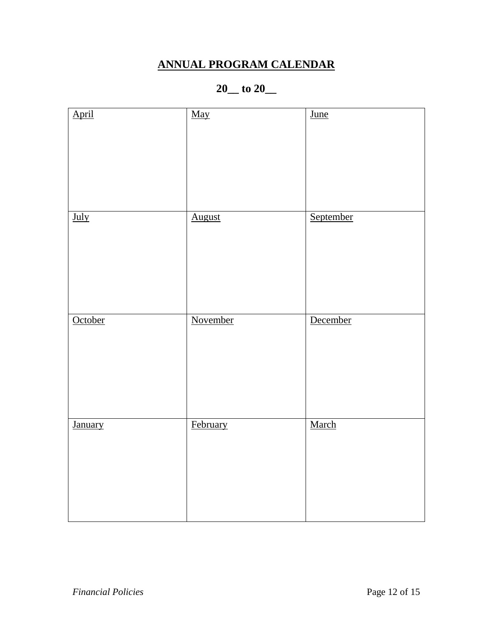# **ANNUAL PROGRAM CALENDAR**

## **20\_\_ to 20\_\_**

| April          | May           | $\overline{\underline{\text{June}}}$ |
|----------------|---------------|--------------------------------------|
| July           | <b>August</b> | September                            |
| October        | November      | December                             |
| <b>January</b> | February      | March                                |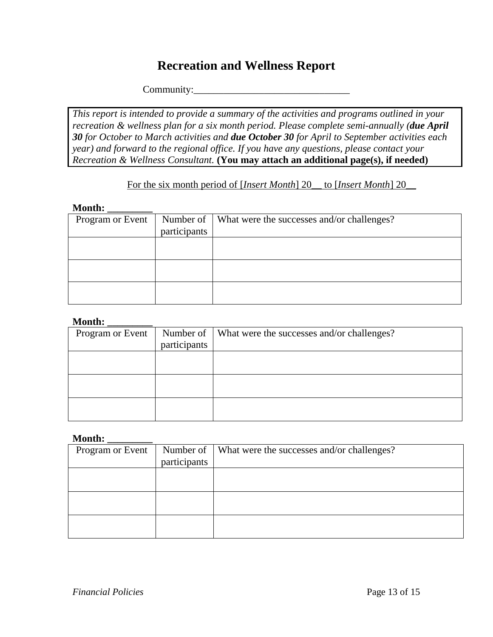# **Recreation and Wellness Report**

Community:\_\_\_\_\_\_\_\_\_\_\_\_\_\_\_\_\_\_\_\_\_\_\_\_\_\_\_\_\_\_\_

*This report is intended to provide a summary of the activities and programs outlined in your recreation & wellness plan for a six month period. Please complete semi-annually (due April 30 for October to March activities and due October 30 for April to September activities each year) and forward to the regional office. If you have any questions, please contact your Recreation & Wellness Consultant.* **(You may attach an additional page(s), if needed)**

#### For the six month period of [*Insert Month*] 20\_\_ to [*Insert Month*] 20\_\_

#### **Month: \_\_\_\_\_\_\_\_\_**

| Program or Event | participants | Number of   What were the successes and/or challenges? |
|------------------|--------------|--------------------------------------------------------|
|                  |              |                                                        |
|                  |              |                                                        |
|                  |              |                                                        |
|                  |              |                                                        |
|                  |              |                                                        |
|                  |              |                                                        |
|                  |              |                                                        |
|                  |              |                                                        |
|                  |              |                                                        |
|                  |              |                                                        |

#### **Month: \_\_\_\_\_\_\_\_\_**

| Program or Event | Number of $\parallel$ | What were the successes and/or challenges? |
|------------------|-----------------------|--------------------------------------------|
|                  | participants          |                                            |
|                  |                       |                                            |
|                  |                       |                                            |
|                  |                       |                                            |
|                  |                       |                                            |
|                  |                       |                                            |
|                  |                       |                                            |

#### **Month: \_\_\_\_\_\_\_\_\_**

| Program or Event |              | Number of   What were the successes and/or challenges? |
|------------------|--------------|--------------------------------------------------------|
|                  | participants |                                                        |
|                  |              |                                                        |
|                  |              |                                                        |
|                  |              |                                                        |
|                  |              |                                                        |
|                  |              |                                                        |
|                  |              |                                                        |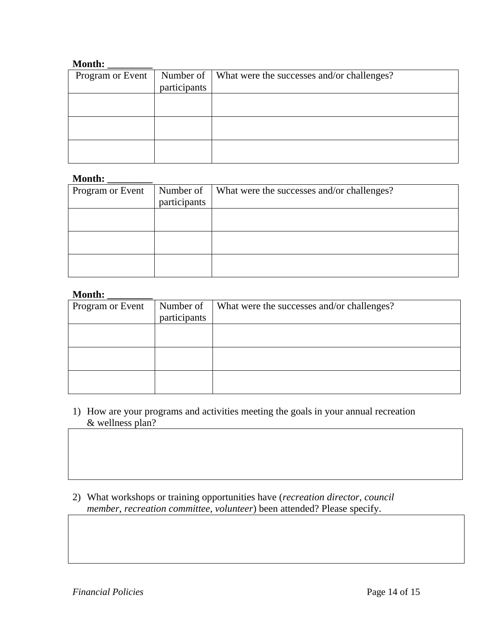#### **Month: \_\_\_\_\_\_\_\_\_**

| Program or Event |              | Number of   What were the successes and/or challenges? |
|------------------|--------------|--------------------------------------------------------|
|                  | participants |                                                        |
|                  |              |                                                        |
|                  |              |                                                        |
|                  |              |                                                        |
|                  |              |                                                        |
|                  |              |                                                        |
|                  |              |                                                        |

#### **Month: \_\_\_\_\_\_\_\_\_**

| Program or Event | Number of    | What were the successes and/or challenges? |
|------------------|--------------|--------------------------------------------|
|                  | participants |                                            |
|                  |              |                                            |
|                  |              |                                            |
|                  |              |                                            |
|                  |              |                                            |
|                  |              |                                            |
|                  |              |                                            |

#### **Month: \_\_\_\_\_\_\_\_\_**

| Program or Event | Number of    | What were the successes and/or challenges? |
|------------------|--------------|--------------------------------------------|
|                  | participants |                                            |
|                  |              |                                            |
|                  |              |                                            |
|                  |              |                                            |
|                  |              |                                            |
|                  |              |                                            |
|                  |              |                                            |

- 1) How are your programs and activities meeting the goals in your annual recreation & wellness plan?
- 2) What workshops or training opportunities have (*recreation director, council member, recreation committee, volunteer*) been attended? Please specify.